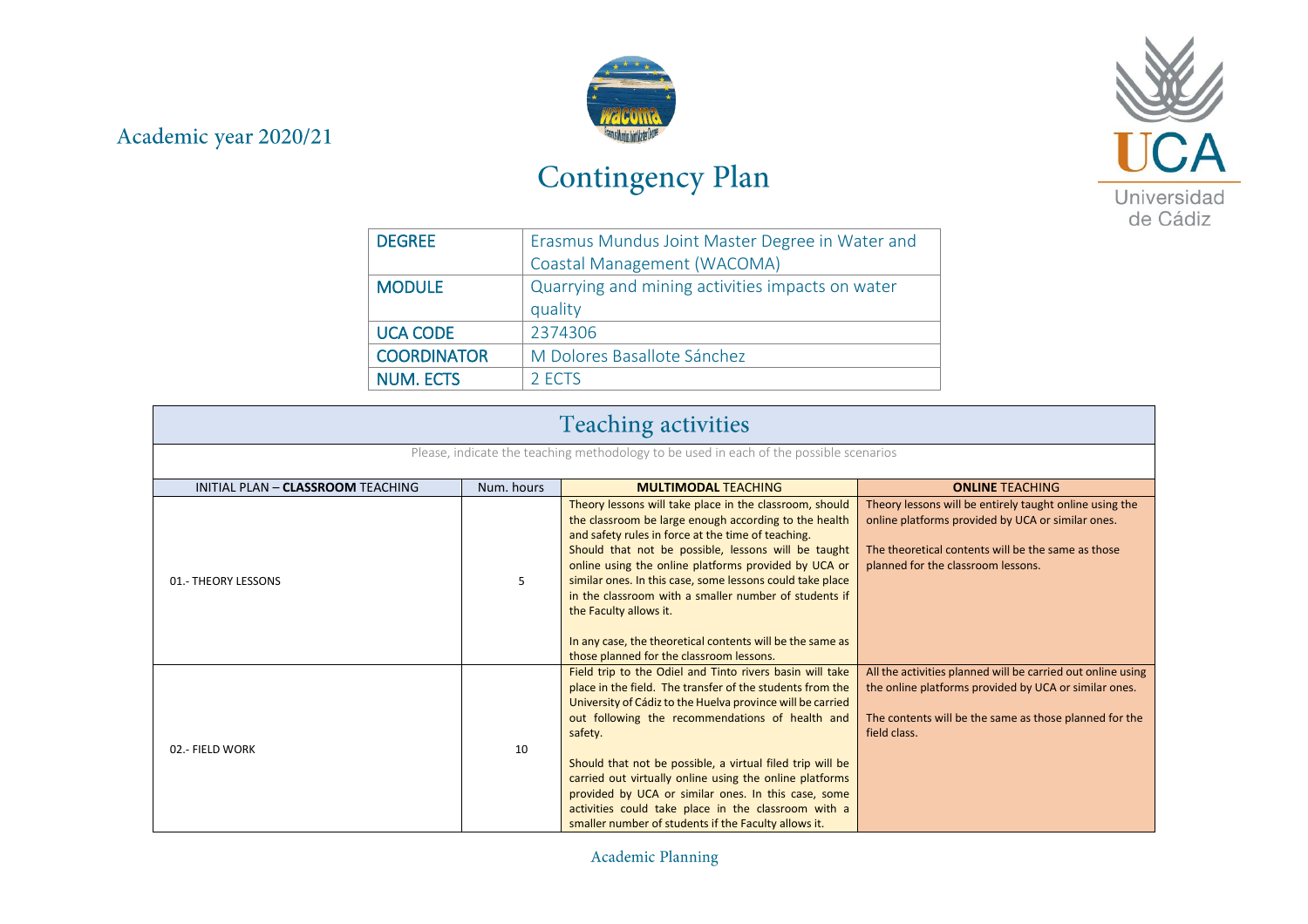## Academic year 2020/21



# Contingency Plan



| <b>DEGREE</b>      | Erasmus Mundus Joint Master Degree in Water and  |
|--------------------|--------------------------------------------------|
|                    | Coastal Management (WACOMA)                      |
| <b>MODULE</b>      | Quarrying and mining activities impacts on water |
|                    | quality                                          |
| <b>UCA CODE</b>    | 2374306                                          |
| <b>COORDINATOR</b> | M Dolores Basallote Sánchez                      |
| <b>NUM. ECTS</b>   | 2 ECTS                                           |

| <b>Teaching activities</b>                                                             |            |                                                                                                                                                                                                                                                                                                                                                                                                                                                                                                                                                 |                                                                                                                                                                                                          |  |
|----------------------------------------------------------------------------------------|------------|-------------------------------------------------------------------------------------------------------------------------------------------------------------------------------------------------------------------------------------------------------------------------------------------------------------------------------------------------------------------------------------------------------------------------------------------------------------------------------------------------------------------------------------------------|----------------------------------------------------------------------------------------------------------------------------------------------------------------------------------------------------------|--|
| Please, indicate the teaching methodology to be used in each of the possible scenarios |            |                                                                                                                                                                                                                                                                                                                                                                                                                                                                                                                                                 |                                                                                                                                                                                                          |  |
| INITIAL PLAN - CLASSROOM TEACHING                                                      | Num. hours | <b>MULTIMODAL TEACHING</b>                                                                                                                                                                                                                                                                                                                                                                                                                                                                                                                      | <b>ONLINE TEACHING</b>                                                                                                                                                                                   |  |
| 01.- THEORY LESSONS                                                                    | 5          | Theory lessons will take place in the classroom, should<br>the classroom be large enough according to the health<br>and safety rules in force at the time of teaching.<br>Should that not be possible, lessons will be taught<br>online using the online platforms provided by UCA or<br>similar ones. In this case, some lessons could take place<br>in the classroom with a smaller number of students if<br>the Faculty allows it.<br>In any case, the theoretical contents will be the same as<br>those planned for the classroom lessons.  | Theory lessons will be entirely taught online using the<br>online platforms provided by UCA or similar ones.<br>The theoretical contents will be the same as those<br>planned for the classroom lessons. |  |
| 02 .- FIELD WORK                                                                       | 10         | Field trip to the Odiel and Tinto rivers basin will take<br>place in the field. The transfer of the students from the<br>University of Cádiz to the Huelva province will be carried<br>out following the recommendations of health and<br>safety.<br>Should that not be possible, a virtual filed trip will be<br>carried out virtually online using the online platforms<br>provided by UCA or similar ones. In this case, some<br>activities could take place in the classroom with a<br>smaller number of students if the Faculty allows it. | All the activities planned will be carried out online using<br>the online platforms provided by UCA or similar ones.<br>The contents will be the same as those planned for the<br>field class.           |  |

Academic Planning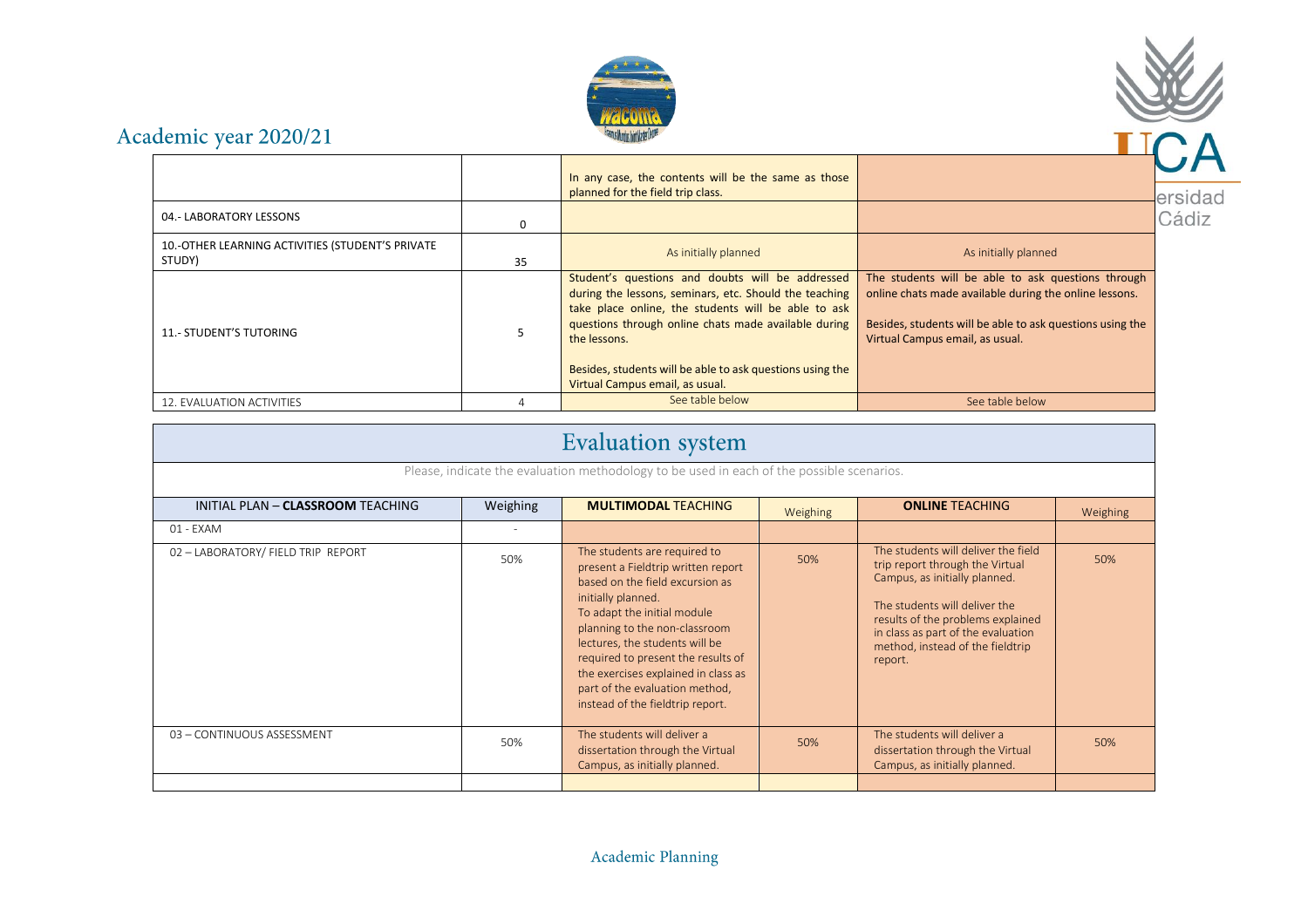



# Academic year 2020/21

|                                                            |    | In any case, the contents will be the same as those                                                                                                                                                                                                                                                                                       |                                                                                                                                                                                                              |     |
|------------------------------------------------------------|----|-------------------------------------------------------------------------------------------------------------------------------------------------------------------------------------------------------------------------------------------------------------------------------------------------------------------------------------------|--------------------------------------------------------------------------------------------------------------------------------------------------------------------------------------------------------------|-----|
|                                                            |    | planned for the field trip class.                                                                                                                                                                                                                                                                                                         |                                                                                                                                                                                                              | ers |
| 04.- LABORATORY LESSONS                                    | o  |                                                                                                                                                                                                                                                                                                                                           |                                                                                                                                                                                                              | Cá  |
| 10.-OTHER LEARNING ACTIVITIES (STUDENT'S PRIVATE<br>STUDY) | 35 | As initially planned                                                                                                                                                                                                                                                                                                                      | As initially planned                                                                                                                                                                                         |     |
| 11.- STUDENT'S TUTORING                                    |    | Student's questions and doubts will be addressed<br>during the lessons, seminars, etc. Should the teaching<br>take place online, the students will be able to ask<br>questions through online chats made available during<br>the lessons.<br>Besides, students will be able to ask questions using the<br>Virtual Campus email, as usual. | The students will be able to ask questions through<br>online chats made available during the online lessons.<br>Besides, students will be able to ask questions using the<br>Virtual Campus email, as usual. |     |
| 12. EVALUATION ACTIVITIES                                  |    | See table below                                                                                                                                                                                                                                                                                                                           | See table below                                                                                                                                                                                              |     |

|                                    |                          | <b>Evaluation</b> system                                                                                                                                                                                                                                                                                                                                                         |          |                                                                                                                                                                                                                                                                    |          |
|------------------------------------|--------------------------|----------------------------------------------------------------------------------------------------------------------------------------------------------------------------------------------------------------------------------------------------------------------------------------------------------------------------------------------------------------------------------|----------|--------------------------------------------------------------------------------------------------------------------------------------------------------------------------------------------------------------------------------------------------------------------|----------|
|                                    |                          | Please, indicate the evaluation methodology to be used in each of the possible scenarios.                                                                                                                                                                                                                                                                                        |          |                                                                                                                                                                                                                                                                    |          |
| INITIAL PLAN - CLASSROOM TEACHING  | Weighing                 | <b>MULTIMODAL TEACHING</b>                                                                                                                                                                                                                                                                                                                                                       | Weighing | <b>ONLINE TEACHING</b>                                                                                                                                                                                                                                             | Weighing |
| 01 - EXAM                          | $\overline{\phantom{a}}$ |                                                                                                                                                                                                                                                                                                                                                                                  |          |                                                                                                                                                                                                                                                                    |          |
| 02 - LABORATORY/ FIELD TRIP REPORT | 50%                      | The students are required to<br>present a Fieldtrip written report<br>based on the field excursion as<br>initially planned.<br>To adapt the initial module<br>planning to the non-classroom<br>lectures, the students will be<br>required to present the results of<br>the exercises explained in class as<br>part of the evaluation method,<br>instead of the fieldtrip report. | 50%      | The students will deliver the field<br>trip report through the Virtual<br>Campus, as initially planned.<br>The students will deliver the<br>results of the problems explained<br>in class as part of the evaluation<br>method, instead of the fieldtrip<br>report. | 50%      |
| 03 - CONTINUOUS ASSESSMENT         | 50%                      | The students will deliver a<br>dissertation through the Virtual<br>Campus, as initially planned.                                                                                                                                                                                                                                                                                 | 50%      | The students will deliver a<br>dissertation through the Virtual<br>Campus, as initially planned.                                                                                                                                                                   | 50%      |
|                                    |                          |                                                                                                                                                                                                                                                                                                                                                                                  |          |                                                                                                                                                                                                                                                                    |          |

#### Academic Planning